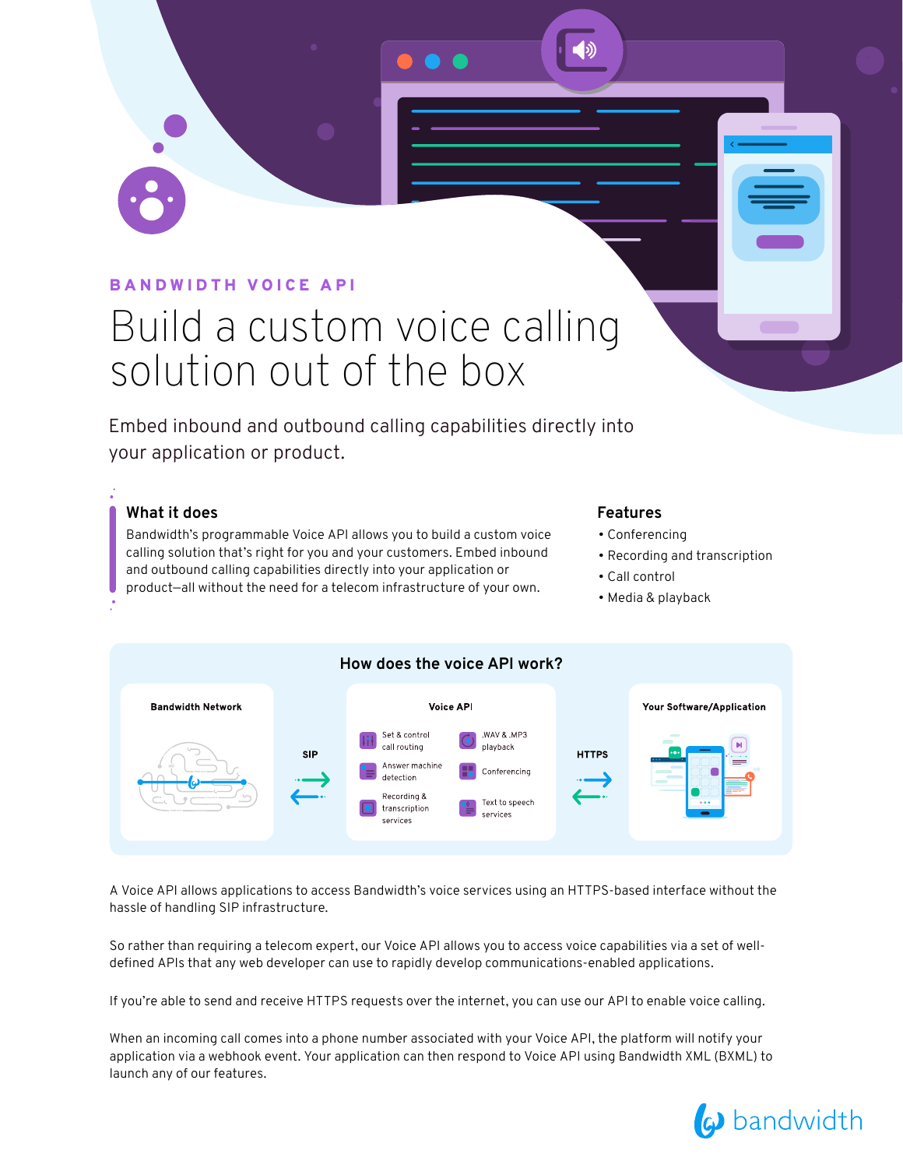### BANDWIDTH VOICE API

# Build a custom voice calling solution out of the box

Embed inbound and outbound calling capabilities directly into your application or product.

#### **What it does**

Bandwidth's programmable Voice API allows you to build a custom voice calling solution that's right for you and your customers. Embed inbound and outbound calling capabilities directly into your application or product—all without the need for a telecom infrastructure of your own.

#### **Features**

- Conferencing
- Recording and transcription
- Call control
- Media & playback



A Voice API allows applications to access Bandwidth's voice services using an HTTPS-based interface without the hassle of handling SIP infrastructure.

So rather than requiring a telecom expert, our Voice API allows you to access voice capabilities via a set of welldefined APIs that any web developer can use to rapidly develop communications-enabled applications.

If you're able to send and receive HTTPS requests over the internet, you can use our API to enable voice calling.

When an incoming call comes into a phone number associated with your Voice API, the platform will notify your application via a webhook event. Your application can then respond to Voice API using Bandwidth XML (BXML) to launch any of our features.